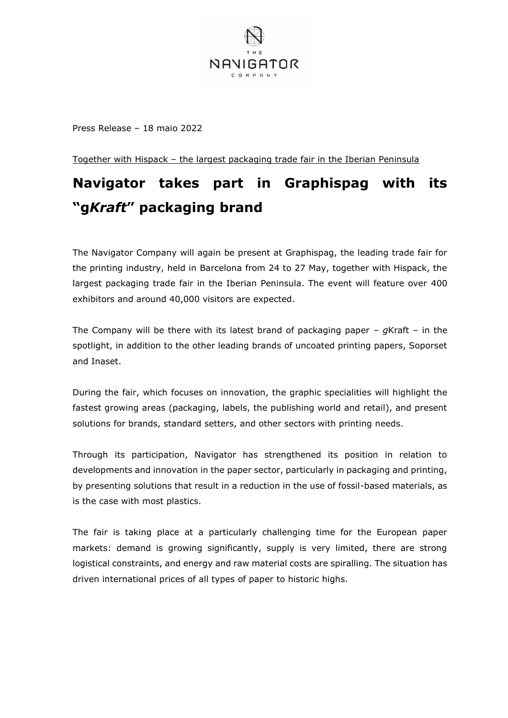

Press Release – 18 maio 2022

Together with Hispack – the largest packaging trade fair in the Iberian Peninsula

# **Navigator takes part in Graphispag with its "g***Kraft***" packaging brand**

The Navigator Company will again be present at Graphispag, the leading trade fair for the printing industry, held in Barcelona from 24 to 27 May, together with Hispack, the largest packaging trade fair in the Iberian Peninsula. The event will feature over 400 exhibitors and around 40,000 visitors are expected.

The Company will be there with its latest brand of packaging paper – *g*Kraft – in the spotlight, in addition to the other leading brands of uncoated printing papers, Soporset and Inaset.

During the fair, which focuses on innovation, the graphic specialities will highlight the fastest growing areas (packaging, labels, the publishing world and retail), and present solutions for brands, standard setters, and other sectors with printing needs.

Through its participation, Navigator has strengthened its position in relation to developments and innovation in the paper sector, particularly in packaging and printing, by presenting solutions that result in a reduction in the use of fossil-based materials, as is the case with most plastics.

The fair is taking place at a particularly challenging time for the European paper markets: demand is growing significantly, supply is very limited, there are strong logistical constraints, and energy and raw material costs are spiralling. The situation has driven international prices of all types of paper to historic highs.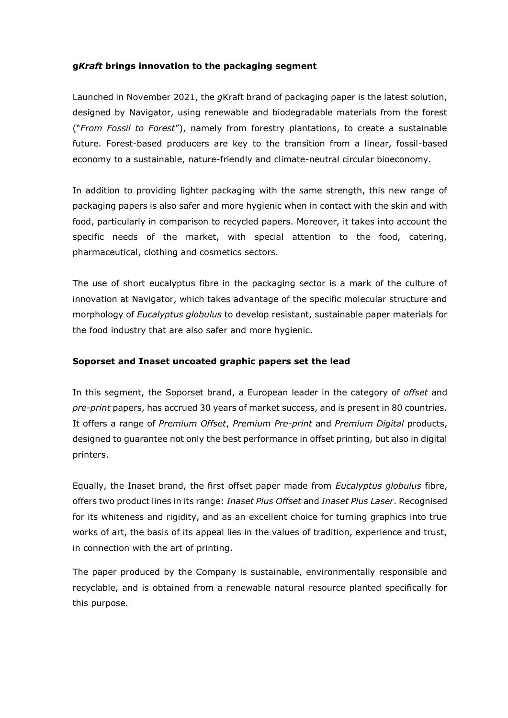## **g***Kraft* **brings innovation to the packaging segment**

Launched in November 2021, the *g*Kraft brand of packaging paper is the latest solution, designed by Navigator, using renewable and biodegradable materials from the forest ("*From Fossil to Forest*"), namely from forestry plantations, to create a sustainable future. Forest-based producers are key to the transition from a linear, fossil-based economy to a sustainable, nature-friendly and climate-neutral circular bioeconomy.

In addition to providing lighter packaging with the same strength, this new range of packaging papers is also safer and more hygienic when in contact with the skin and with food, particularly in comparison to recycled papers. Moreover, it takes into account the specific needs of the market, with special attention to the food, catering, pharmaceutical, clothing and cosmetics sectors.

The use of short eucalyptus fibre in the packaging sector is a mark of the culture of innovation at Navigator, which takes advantage of the specific molecular structure and morphology of *Eucalyptus globulus* to develop resistant, sustainable paper materials for the food industry that are also safer and more hygienic.

## **Soporset and Inaset uncoated graphic papers set the lead**

In this segment, the Soporset brand, a European leader in the category of *offset* and *pre-print* papers, has accrued 30 years of market success, and is present in 80 countries. It offers a range of *Premium Offset*, *Premium Pre-print* and *Premium Digital* products, designed to guarantee not only the best performance in offset printing, but also in digital printers.

Equally, the Inaset brand, the first offset paper made from *Eucalyptus globulus* fibre, offers two product lines in its range: *Inaset Plus Offset* and *Inaset Plus Laser*. Recognised for its whiteness and rigidity, and as an excellent choice for turning graphics into true works of art, the basis of its appeal lies in the values of tradition, experience and trust, in connection with the art of printing.

The paper produced by the Company is sustainable, environmentally responsible and recyclable, and is obtained from a renewable natural resource planted specifically for this purpose.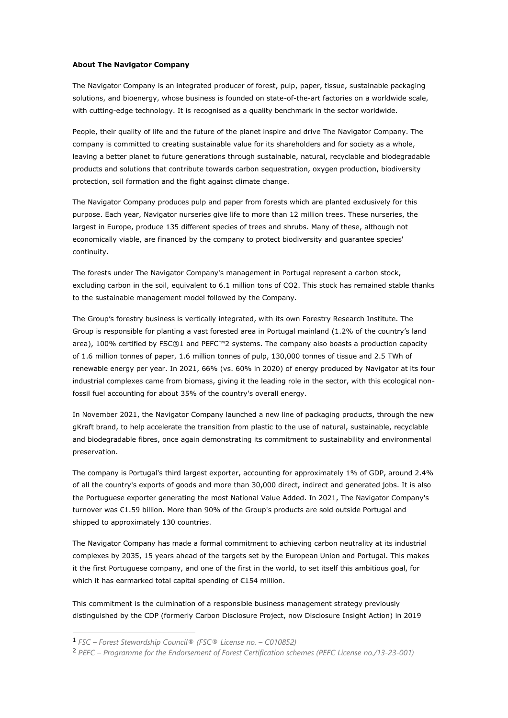#### **About The Navigator Company**

The Navigator Company is an integrated producer of forest, pulp, paper, tissue, sustainable packaging solutions, and bioenergy, whose business is founded on state-of-the-art factories on a worldwide scale, with cutting-edge technology. It is recognised as a quality benchmark in the sector worldwide.

People, their quality of life and the future of the planet inspire and drive The Navigator Company. The company is committed to creating sustainable value for its shareholders and for society as a whole, leaving a better planet to future generations through sustainable, natural, recyclable and biodegradable products and solutions that contribute towards carbon sequestration, oxygen production, biodiversity protection, soil formation and the fight against climate change.

The Navigator Company produces pulp and paper from forests which are planted exclusively for this purpose. Each year, Navigator nurseries give life to more than 12 million trees. These nurseries, the largest in Europe, produce 135 different species of trees and shrubs. Many of these, although not economically viable, are financed by the company to protect biodiversity and guarantee species' continuity.

The forests under The Navigator Company's management in Portugal represent a carbon stock, excluding carbon in the soil, equivalent to 6.1 million tons of CO2. This stock has remained stable thanks to the sustainable management model followed by the Company.

The Group's forestry business is vertically integrated, with its own Forestry Research Institute. The Group is responsible for planting a vast forested area in Portugal mainland (1.2% of the country's land area), 100% certified by FSC®1 and PEFC™2 systems. The company also boasts a production capacity of 1.6 million tonnes of paper, 1.6 million tonnes of pulp, 130,000 tonnes of tissue and 2.5 TWh of renewable energy per year. In 2021, 66% (vs. 60% in 2020) of energy produced by Navigator at its four industrial complexes came from biomass, giving it the leading role in the sector, with this ecological nonfossil fuel accounting for about 35% of the country's overall energy.

In November 2021, the Navigator Company launched a new line of packaging products, through the new gKraft brand, to help accelerate the transition from plastic to the use of natural, sustainable, recyclable and biodegradable fibres, once again demonstrating its commitment to sustainability and environmental preservation.

The company is Portugal's third largest exporter, accounting for approximately 1% of GDP, around 2.4% of all the country's exports of goods and more than 30,000 direct, indirect and generated jobs. It is also the Portuguese exporter generating the most National Value Added. In 2021, The Navigator Company's turnover was €1.59 billion. More than 90% of the Group's products are sold outside Portugal and shipped to approximately 130 countries.

The Navigator Company has made a formal commitment to achieving carbon neutrality at its industrial complexes by 2035, 15 years ahead of the targets set by the European Union and Portugal. This makes it the first Portuguese company, and one of the first in the world, to set itself this ambitious goal, for which it has earmarked total capital spending of €154 million.

This commitment is the culmination of a responsible business management strategy previously distinguished by the CDP (formerly Carbon Disclosure Project, now Disclosure Insight Action) in 2019

<sup>1</sup> *FSC – Forest Stewardship Council® (FSC® License no. – C010852)*

<sup>2</sup> *PEFC – Programme for the Endorsement of Forest Certification schemes (PEFC License no./13-23-001)*